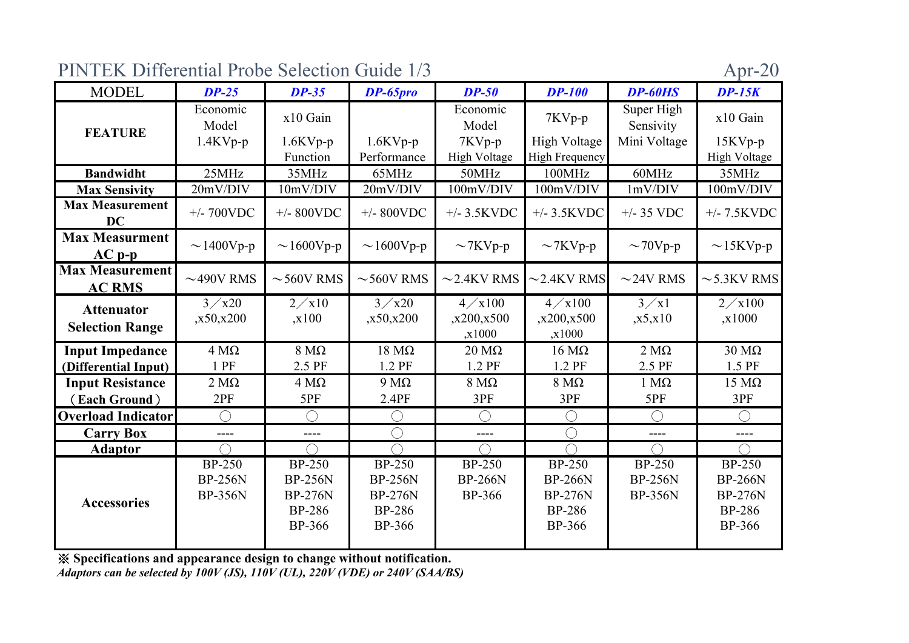| PINTEK Differential Probe Selection Guide 1/3 | Apr-20 |  |  |
|-----------------------------------------------|--------|--|--|
|-----------------------------------------------|--------|--|--|

| <b>MODEL</b>                            | $DP-25$                                           | $DP-35$                                                                             | DP-65pro                                                                       | $DP-50$                                     | <b>DP-100</b>                                                                       | DP-60HS                                           | $DP-15K$                                                                     |
|-----------------------------------------|---------------------------------------------------|-------------------------------------------------------------------------------------|--------------------------------------------------------------------------------|---------------------------------------------|-------------------------------------------------------------------------------------|---------------------------------------------------|------------------------------------------------------------------------------|
| <b>FEATURE</b>                          | Economic<br>Model                                 | x10 Gain                                                                            |                                                                                | Economic<br>Model                           | 7KVp-p                                                                              | Super High<br>Sensivity                           | x10 Gain                                                                     |
|                                         | $1.4$ KVp-p                                       | $1.6$ KVp-p<br>Function                                                             | $1.6$ KVp-p<br>Performance                                                     | 7KVp-p<br><b>High Voltage</b>               | <b>High Voltage</b><br>High Frequency                                               | Mini Voltage                                      | $15KVp-p$<br>High Voltage                                                    |
| <b>Bandwidht</b>                        | 25MHz                                             | 35MHz                                                                               | 65MHz                                                                          | 50MHz                                       | 100MHz                                                                              | 60MHz                                             | 35MHz                                                                        |
| <b>Max Sensivity</b>                    | 20mV/DIV                                          | 10mV/DIV                                                                            | 20mV/DIV                                                                       | 100mV/DIV                                   | 100mV/DIV                                                                           | 1mV/DIV                                           | 100mV/DIV                                                                    |
| <b>Max Measurement</b><br><b>DC</b>     | $+/- 700$ VDC                                     | $+/-$ 800VDC                                                                        | $+/- 800VDC$                                                                   | $+/-$ 3.5KVDC                               | $+/-$ 3.5KVDC                                                                       | $+/- 35$ VDC                                      | $+/- 7.5$ KVDC                                                               |
| <b>Max Measurment</b><br>$AC p-p$       | $\sim$ 1400Vp-p                                   | $\sim$ 1600Vp-p                                                                     | $\sim$ 1600Vp-p                                                                | $\sim$ 7KVp-p                               | $\sim$ 7KVp-p                                                                       | $\sim$ 70Vp-p                                     | $\sim$ 15KVp-p                                                               |
| <b>Max Measurement</b><br><b>AC RMS</b> | $\sim$ 490V RMS                                   | $\sim$ 560V RMS                                                                     | $\sim$ 560V RMS                                                                | $\sim$ 2.4KV RMS                            | $\sim$ 2.4KV RMS                                                                    | $\sim$ 24V RMS                                    | $\sim$ 5.3KV RMS                                                             |
| <b>Attenuator</b>                       | $3 \times x20$                                    | $2 \times 10$                                                                       | $3 \times x20$                                                                 | $4 \times 100$                              | $4 \diagup x100$                                                                    | $3 \times 1$                                      | $2 \times 100$                                                               |
| <b>Selection Range</b>                  | ,x50,x200                                         | x100                                                                                | ,x50,x200                                                                      | ,x200,x500<br>,x1000                        | ,x200,x500<br>,x1000                                                                | ,x5,x10                                           | x1000                                                                        |
| <b>Input Impedance</b>                  | $4 M\Omega$                                       | $8 \text{ M}\Omega$                                                                 | $18 \text{ M}\Omega$                                                           | $20 \text{ M}\Omega$                        | $16 \text{ M}\Omega$                                                                | $2 M\Omega$                                       | $30 \text{ M}\Omega$                                                         |
| (Differential Input)                    | $1$ PF                                            | 2.5 PF                                                                              | 1.2 PF                                                                         | 1.2 PF                                      | 1.2 PF                                                                              | 2.5 PF                                            | 1.5 PF                                                                       |
| <b>Input Resistance</b>                 | $2 M\Omega$                                       | $4 M\Omega$                                                                         | $9 M\Omega$                                                                    | $8 M\Omega$                                 | $8 \text{ M}\Omega$                                                                 | $1 M\Omega$                                       | $15 \text{ M}\Omega$                                                         |
| (Each Ground)                           | 2PF                                               | 5PF                                                                                 | 2.4PF                                                                          | 3PF                                         | 3PF                                                                                 | 5PF                                               | 3PF                                                                          |
| <b>Overload Indicator</b>               | $\bigcap$                                         | $\bigcirc$                                                                          | $(\ )$                                                                         | $\bigcap$                                   | $\bigcirc$                                                                          | $\bigcap$                                         | $\bigcirc$                                                                   |
| <b>Carry Box</b>                        | $---$                                             | $---$                                                                               |                                                                                | $---$                                       | $\bigcap$                                                                           | $---$                                             | $- - - -$                                                                    |
| <b>Adaptor</b>                          |                                                   | $\bigcap$                                                                           |                                                                                |                                             |                                                                                     |                                                   | $\subset$                                                                    |
| <b>Accessories</b>                      | <b>BP-250</b><br><b>BP-256N</b><br><b>BP-356N</b> | <b>BP-250</b><br><b>BP-256N</b><br><b>BP-276N</b><br><b>BP-286</b><br><b>BP-366</b> | $BP-250$<br><b>BP-256N</b><br><b>BP-276N</b><br><b>BP-286</b><br><b>BP-366</b> | $BP-250$<br><b>BP-266N</b><br><b>BP-366</b> | <b>BP-250</b><br><b>BP-266N</b><br><b>BP-276N</b><br><b>BP-286</b><br><b>BP-366</b> | <b>BP-250</b><br><b>BP-256N</b><br><b>BP-356N</b> | <b>BP-250</b><br><b>BP-266N</b><br><b>BP-276N</b><br><b>BP-286</b><br>BP-366 |

※ **S pecifications and appearance desi gn to chan ge without notification.**

*Adaptors can be selected by 100V (JS), 110V (UL), 220V (VDE) or 240V (SAA/BS)*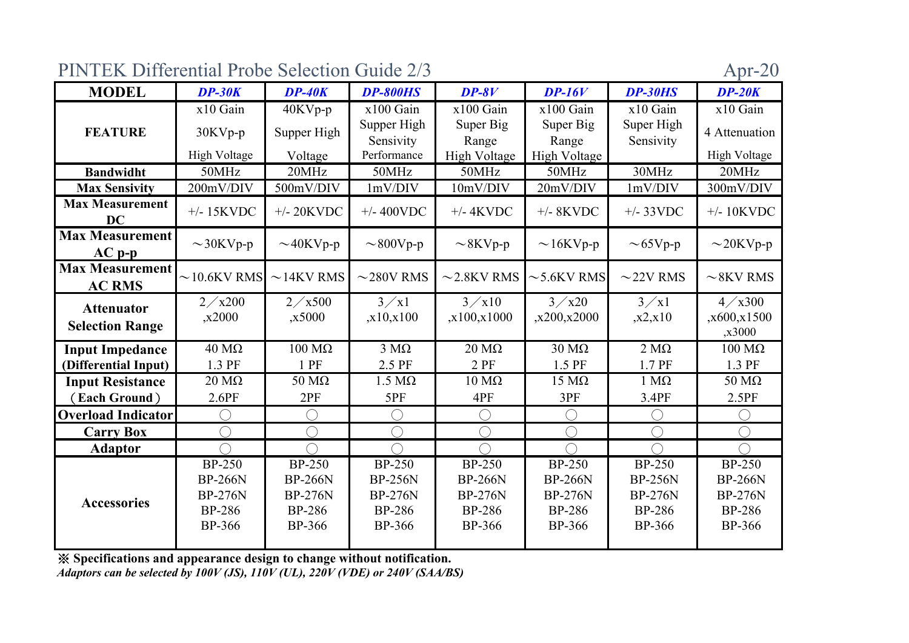PINTEK Differential Probe Selection Guide 2/3

| <b>MODEL</b>                            | $DP-30K$                                            | $DP-40K$             | <b>DP-800HS</b>           | $DP-8V$              | $DP-16V$                   | <b>DP-30HS</b> | $DP-20K$                                    |
|-----------------------------------------|-----------------------------------------------------|----------------------|---------------------------|----------------------|----------------------------|----------------|---------------------------------------------|
|                                         | x10 Gain                                            | 40KVp-p              | x100 Gain                 | x100 Gain            | x100 Gain                  | x10 Gain       | x10 Gain                                    |
| <b>FEATURE</b>                          | 30KVp-p                                             | Supper High          | Supper High               | Super Big            | Super Big                  | Super High     | 4 Attenuation                               |
|                                         |                                                     |                      | Sensivity                 | Range                | Range                      | Sensivity      |                                             |
|                                         | <b>High Voltage</b>                                 | Voltage              | Performance               | <b>High Voltage</b>  | High Voltage               |                | High Voltage                                |
| <b>Bandwidht</b>                        | 50MHz                                               | 20MHz                | 50MHz                     | 50MHz                | 50MHz                      | 30MHz          | 20MHz                                       |
| <b>Max Sensivity</b>                    | 200mV/DIV                                           | 500mV/DIV            | 1mV/DIV                   | 10mV/DIV             | 20mV/DIV                   | 1mV/DIV        | 300mV/DIV                                   |
| <b>Max Measurement</b><br><b>DC</b>     | $+/- 15$ KVDC                                       | $+/- 20$ KVDC        | $+/- 400$ VDC             | $+/- 4$ KVDC         | $+/- 8$ KVDC               | $+/- 33VDC$    | $+/- 10$ KVDC                               |
| <b>Max Measurement</b><br>$AC$ $p-p$    | $\sim$ 30KVp-p                                      | $\sim$ 40KVp-p       | $\sim$ 800Vp-p            | $\sim$ 8KVp-p        | $\sim$ 16KVp-p             | $\sim$ 65Vp-p  | $\sim$ 20KVp-p                              |
| <b>Max Measurement</b><br><b>AC RMS</b> | $\sim$ 10.6KV RMS                                   | $\sim$ 14KV RMS      | $\sim$ 280V RMS           | $\sim$ 2.8KV RMS     | $\sim$ 5.6KV RMS           | $\sim$ 22V RMS | $\sim$ 8KV RMS                              |
| <b>Attenuator</b>                       | $2 \times x200$                                     | $2 \times 500$       | $3 \times 1$              | $3 \times 10$        | $3 \times x20$             | $3 \times 1$   | $4 \times 300$                              |
|                                         | ,x2000                                              | ,x5000               | , x10, x100               | ,x100,x1000          | ,x200,x2000                | ,x2,x10        | ,x600,x1500                                 |
| <b>Selection Range</b>                  |                                                     |                      |                           |                      |                            |                | ,x3000                                      |
| <b>Input Impedance</b>                  | $40 \text{ M}\Omega$                                | $100$ MΩ             | $\overline{3}$ M $\Omega$ | $20 \text{ M}\Omega$ | $\overline{30}$ M $\Omega$ | $2 M\Omega$    | $100 \text{ M}\Omega$                       |
| (Differential Input)                    | 1.3 PF                                              | 1 PF                 | 2.5 PF                    | 2 PF                 | 1.5 PF                     | 1.7 PF         | 1.3 PF                                      |
| <b>Input Resistance</b>                 | $20 \text{ M}\Omega$                                | $50 \text{ M}\Omega$ | $1.5 M\Omega$             | $10 \text{ M}\Omega$ | $15 \text{ M}\Omega$       | $1 M\Omega$    | $50 \text{ M}\Omega$                        |
| (Each Ground)                           | 2.6PF                                               | 2PF                  | 5PF                       | 4PF                  | 3PF                        | 3.4PF          | 2.5PF                                       |
| <b>Overload Indicator</b>               | $\left( \begin{array}{c} \cdot \end{array} \right)$ | ◯                    |                           | ∩                    | ◯                          |                | $\left(\begin{array}{c} \end{array}\right)$ |
| <b>Carry Box</b>                        | $\left(\begin{array}{c}\right)$                     | ◯                    |                           | ◯                    | ⌒                          |                | ◯                                           |
| <b>Adaptor</b>                          |                                                     | $\bigcap$            |                           |                      |                            |                |                                             |
|                                         | <b>BP-250</b>                                       | <b>BP-250</b>        | <b>BP-250</b>             | <b>BP-250</b>        | <b>BP-250</b>              | <b>BP-250</b>  | <b>BP-250</b>                               |
|                                         | <b>BP-266N</b>                                      | <b>BP-266N</b>       | <b>BP-256N</b>            | <b>BP-266N</b>       | <b>BP-266N</b>             | <b>BP-256N</b> | <b>BP-266N</b>                              |
| <b>Accessories</b>                      | <b>BP-276N</b>                                      | <b>BP-276N</b>       | <b>BP-276N</b>            | <b>BP-276N</b>       | <b>BP-276N</b>             | <b>BP-276N</b> | <b>BP-276N</b>                              |
|                                         | <b>BP-286</b>                                       | <b>BP-286</b>        | <b>BP-286</b>             | <b>BP-286</b>        | <b>BP-286</b>              | <b>BP-286</b>  | <b>BP-286</b>                               |
|                                         | <b>BP-366</b>                                       | <b>BP-366</b>        | <b>BP-366</b>             | BP-366               | <b>BP-366</b>              | <b>BP-366</b>  | <b>BP-366</b>                               |
|                                         |                                                     |                      |                           |                      |                            |                |                                             |

※ **S pecifications and appearance desi gn to chan ge without notification.**

*Adaptors can be selected by 100V (JS), 110V (UL), 220V (VDE) or 240V (SAA/BS)*